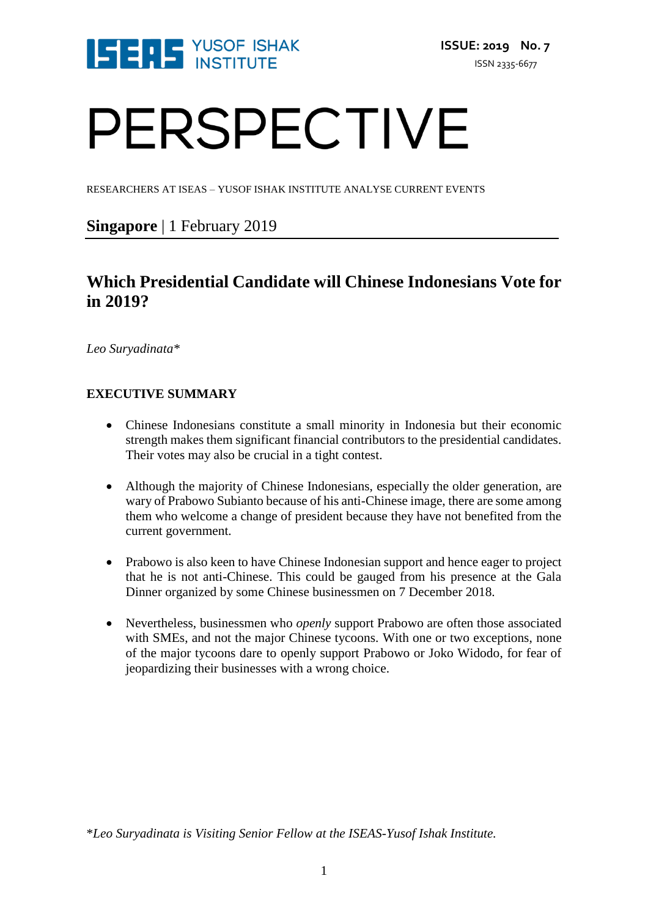

# PERSPECTIVE

RESEARCHERS AT ISEAS – YUSOF ISHAK INSTITUTE ANALYSE CURRENT EVENTS

### **Singapore** | 1 February 2019

## **Which Presidential Candidate will Chinese Indonesians Vote for in 2019?**

*Leo Suryadinata\**

#### **EXECUTIVE SUMMARY**

- Chinese Indonesians constitute a small minority in Indonesia but their economic strength makes them significant financial contributors to the presidential candidates. Their votes may also be crucial in a tight contest.
- Although the majority of Chinese Indonesians, especially the older generation, are wary of Prabowo Subianto because of his anti-Chinese image, there are some among them who welcome a change of president because they have not benefited from the current government.
- Prabowo is also keen to have Chinese Indonesian support and hence eager to project that he is not anti-Chinese. This could be gauged from his presence at the Gala Dinner organized by some Chinese businessmen on 7 December 2018.
- Nevertheless, businessmen who *openly* support Prabowo are often those associated with SMEs, and not the major Chinese tycoons. With one or two exceptions, none of the major tycoons dare to openly support Prabowo or Joko Widodo, for fear of jeopardizing their businesses with a wrong choice.

\**Leo Suryadinata is Visiting Senior Fellow at the ISEAS-Yusof Ishak Institute.*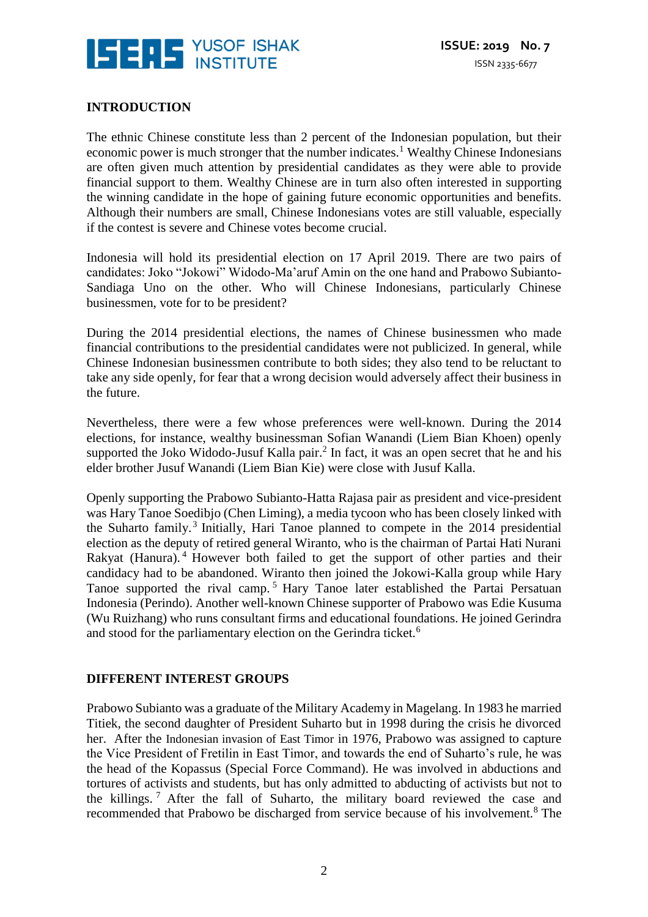

#### **INTRODUCTION**

The ethnic Chinese constitute less than 2 percent of the Indonesian population, but their economic power is much stronger that the number indicates.<sup>1</sup> Wealthy Chinese Indonesians are often given much attention by presidential candidates as they were able to provide financial support to them. Wealthy Chinese are in turn also often interested in supporting the winning candidate in the hope of gaining future economic opportunities and benefits. Although their numbers are small, Chinese Indonesians votes are still valuable, especially if the contest is severe and Chinese votes become crucial.

Indonesia will hold its presidential election on 17 April 2019. There are two pairs of candidates: Joko "Jokowi" Widodo-Ma'aruf Amin on the one hand and Prabowo Subianto-Sandiaga Uno on the other. Who will Chinese Indonesians, particularly Chinese businessmen, vote for to be president?

During the 2014 presidential elections, the names of Chinese businessmen who made financial contributions to the presidential candidates were not publicized. In general, while Chinese Indonesian businessmen contribute to both sides; they also tend to be reluctant to take any side openly, for fear that a wrong decision would adversely affect their business in the future.

Nevertheless, there were a few whose preferences were well-known. During the 2014 elections, for instance, wealthy businessman Sofian Wanandi (Liem Bian Khoen) openly supported the Joko Widodo-Jusuf Kalla pair. $<sup>2</sup>$  In fact, it was an open secret that he and his</sup> elder brother Jusuf Wanandi (Liem Bian Kie) were close with Jusuf Kalla.

Openly supporting the Prabowo Subianto-Hatta Rajasa pair as president and vice-president was Hary Tanoe Soedibjo (Chen Liming), a media tycoon who has been closely linked with the Suharto family.<sup>3</sup> Initially, Hari Tanoe planned to compete in the 2014 presidential election as the deputy of retired general Wiranto, who is the chairman of Partai Hati Nurani Rakyat (Hanura).<sup>4</sup> However both failed to get the support of other parties and their candidacy had to be abandoned. Wiranto then joined the Jokowi-Kalla group while Hary Tanoe supported the rival camp.<sup>5</sup> Hary Tanoe later established the Partai Persatuan Indonesia (Perindo). Another well-known Chinese supporter of Prabowo was Edie Kusuma (Wu Ruizhang) who runs consultant firms and educational foundations. He joined Gerindra and stood for the parliamentary election on the Gerindra ticket.<sup>6</sup>

#### **DIFFERENT INTEREST GROUPS**

Prabowo Subianto was a graduate of the Military Academy in Magelang. In 1983 he married Titiek, the second daughter of President Suharto but in 1998 during the crisis he divorced her. After the Indonesian invasion of East Timor in 1976, Prabowo was assigned to capture the Vice President of Fretilin in East Timor, and towards the end of Suharto's rule, he was the head of the Kopassus (Special Force Command). He was involved in abductions and tortures of activists and students, but has only admitted to abducting of activists but not to the killings.  $\frac{7}{1}$  After the fall of Suharto, the military board reviewed the case and recommended that Prabowo be discharged from service because of his involvement.<sup>8</sup> The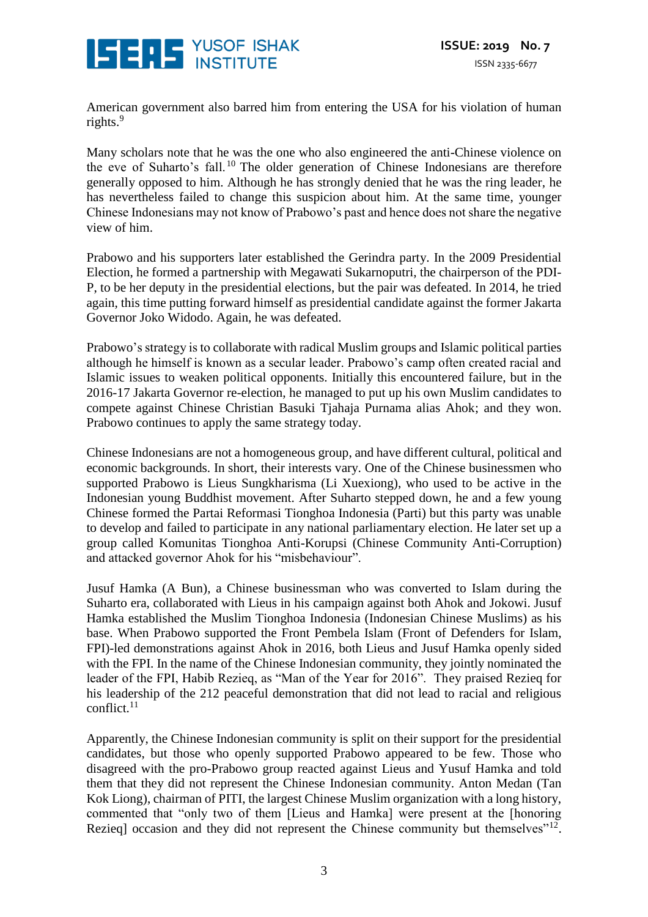

American government also barred him from entering the USA for his violation of human rights. $9$ 

Many scholars note that he was the one who also engineered the anti-Chinese violence on the eve of Suharto's fall.<sup>10</sup> The older generation of Chinese Indonesians are therefore generally opposed to him. Although he has strongly denied that he was the ring leader, he has nevertheless failed to change this suspicion about him. At the same time, younger Chinese Indonesians may not know of Prabowo's past and hence does not share the negative view of him.

Prabowo and his supporters later established the Gerindra party. In the 2009 Presidential Election, he formed a partnership with Megawati Sukarnoputri, the chairperson of the PDI-P, to be her deputy in the presidential elections, but the pair was defeated. In 2014, he tried again, this time putting forward himself as presidential candidate against the former Jakarta Governor Joko Widodo. Again, he was defeated.

Prabowo's strategy is to collaborate with radical Muslim groups and Islamic political parties although he himself is known as a secular leader. Prabowo's camp often created racial and Islamic issues to weaken political opponents. Initially this encountered failure, but in the 2016-17 Jakarta Governor re-election, he managed to put up his own Muslim candidates to compete against Chinese Christian Basuki Tjahaja Purnama alias Ahok; and they won. Prabowo continues to apply the same strategy today.

Chinese Indonesians are not a homogeneous group, and have different cultural, political and economic backgrounds. In short, their interests vary. One of the Chinese businessmen who supported Prabowo is Lieus Sungkharisma (Li Xuexiong), who used to be active in the Indonesian young Buddhist movement. After Suharto stepped down, he and a few young Chinese formed the Partai Reformasi Tionghoa Indonesia (Parti) but this party was unable to develop and failed to participate in any national parliamentary election. He later set up a group called Komunitas Tionghoa Anti-Korupsi (Chinese Community Anti-Corruption) and attacked governor Ahok for his "misbehaviour".

Jusuf Hamka (A Bun), a Chinese businessman who was converted to Islam during the Suharto era, collaborated with Lieus in his campaign against both Ahok and Jokowi. Jusuf Hamka established the Muslim Tionghoa Indonesia (Indonesian Chinese Muslims) as his base. When Prabowo supported the Front Pembela Islam (Front of Defenders for Islam, FPI)-led demonstrations against Ahok in 2016, both Lieus and Jusuf Hamka openly sided with the FPI. In the name of the Chinese Indonesian community, they jointly nominated the leader of the FPI, Habib Rezieq, as "Man of the Year for 2016". They praised Rezieq for his leadership of the 212 peaceful demonstration that did not lead to racial and religious conflict. $11$ 

Apparently, the Chinese Indonesian community is split on their support for the presidential candidates, but those who openly supported Prabowo appeared to be few. Those who disagreed with the pro-Prabowo group reacted against Lieus and Yusuf Hamka and told them that they did not represent the Chinese Indonesian community. Anton Medan (Tan Kok Liong), chairman of PITI, the largest Chinese Muslim organization with a long history, commented that "only two of them [Lieus and Hamka] were present at the [honoring Rezieq] occasion and they did not represent the Chinese community but themselves" $12$ .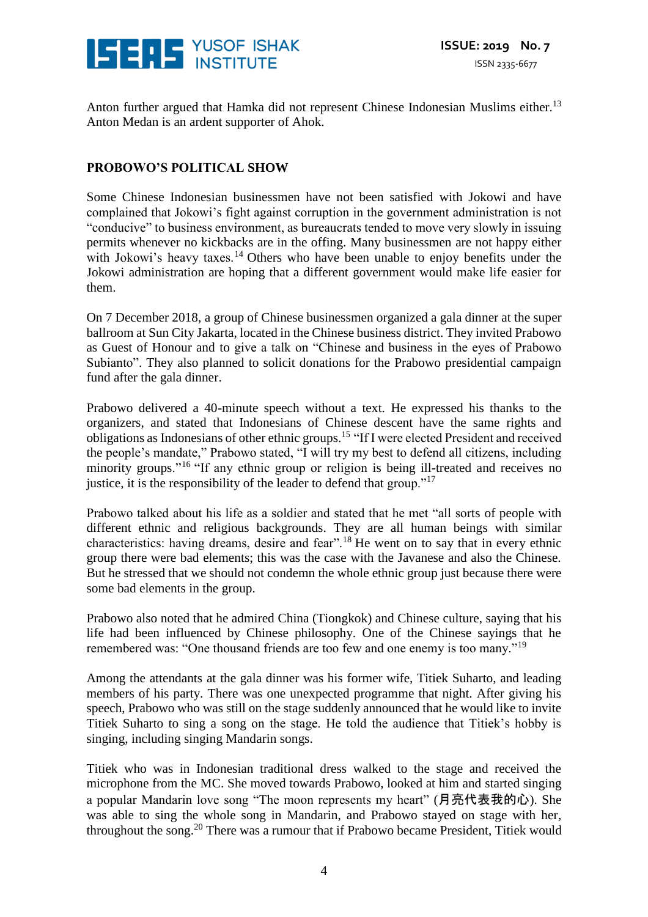

Anton further argued that Hamka did not represent Chinese Indonesian Muslims either.<sup>13</sup> Anton Medan is an ardent supporter of Ahok.

#### **PROBOWO'S POLITICAL SHOW**

Some Chinese Indonesian businessmen have not been satisfied with Jokowi and have complained that Jokowi's fight against corruption in the government administration is not "conducive" to business environment, as bureaucrats tended to move very slowly in issuing permits whenever no kickbacks are in the offing. Many businessmen are not happy either with Jokowi's heavy taxes.<sup>14</sup> Others who have been unable to enjoy benefits under the Jokowi administration are hoping that a different government would make life easier for them.

On 7 December 2018, a group of Chinese businessmen organized a gala dinner at the super ballroom at Sun City Jakarta, located in the Chinese business district. They invited Prabowo as Guest of Honour and to give a talk on "Chinese and business in the eyes of Prabowo Subianto". They also planned to solicit donations for the Prabowo presidential campaign fund after the gala dinner.

Prabowo delivered a 40-minute speech without a text. He expressed his thanks to the organizers, and stated that Indonesians of Chinese descent have the same rights and obligations as Indonesians of other ethnic groups.<sup>15</sup> "If I were elected President and received the people's mandate," Prabowo stated, "I will try my best to defend all citizens, including minority groups."<sup>16</sup> "If any ethnic group or religion is being ill-treated and receives no justice, it is the responsibility of the leader to defend that group."<sup>17</sup>

Prabowo talked about his life as a soldier and stated that he met "all sorts of people with different ethnic and religious backgrounds. They are all human beings with similar characteristics: having dreams, desire and fear".<sup>18</sup> He went on to say that in every ethnic group there were bad elements; this was the case with the Javanese and also the Chinese. But he stressed that we should not condemn the whole ethnic group just because there were some bad elements in the group.

Prabowo also noted that he admired China (Tiongkok) and Chinese culture, saying that his life had been influenced by Chinese philosophy. One of the Chinese sayings that he remembered was: "One thousand friends are too few and one enemy is too many."<sup>19</sup>

Among the attendants at the gala dinner was his former wife, Titiek Suharto, and leading members of his party. There was one unexpected programme that night. After giving his speech, Prabowo who was still on the stage suddenly announced that he would like to invite Titiek Suharto to sing a song on the stage. He told the audience that Titiek's hobby is singing, including singing Mandarin songs.

Titiek who was in Indonesian traditional dress walked to the stage and received the microphone from the MC. She moved towards Prabowo, looked at him and started singing a popular Mandarin love song "The moon represents my heart" (月亮代表我的心). She was able to sing the whole song in Mandarin, and Prabowo stayed on stage with her, throughout the song.<sup>20</sup> There was a rumour that if Prabowo became President, Titiek would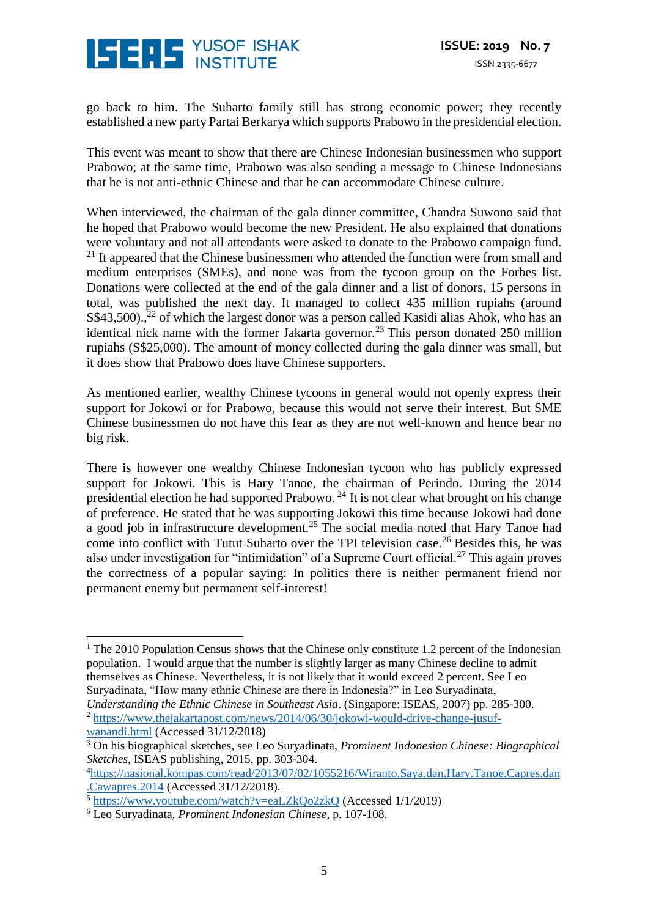# **ISERS** YUSOF ISHAK

go back to him. The Suharto family still has strong economic power; they recently established a new party Partai Berkarya which supports Prabowo in the presidential election.

This event was meant to show that there are Chinese Indonesian businessmen who support Prabowo; at the same time, Prabowo was also sending a message to Chinese Indonesians that he is not anti-ethnic Chinese and that he can accommodate Chinese culture.

When interviewed, the chairman of the gala dinner committee, Chandra Suwono said that he hoped that Prabowo would become the new President. He also explained that donations were voluntary and not all attendants were asked to donate to the Prabowo campaign fund.  $21$  It appeared that the Chinese businessmen who attended the function were from small and medium enterprises (SMEs), and none was from the tycoon group on the Forbes list. Donations were collected at the end of the gala dinner and a list of donors, 15 persons in total, was published the next day. It managed to collect 435 million rupiahs (around S\$43,500).,<sup>22</sup> of which the largest donor was a person called Kasidi alias Ahok, who has an identical nick name with the former Jakarta governor.<sup>23</sup> This person donated 250 million rupiahs (S\$25,000). The amount of money collected during the gala dinner was small, but it does show that Prabowo does have Chinese supporters.

As mentioned earlier, wealthy Chinese tycoons in general would not openly express their support for Jokowi or for Prabowo, because this would not serve their interest. But SME Chinese businessmen do not have this fear as they are not well-known and hence bear no big risk.

There is however one wealthy Chinese Indonesian tycoon who has publicly expressed support for Jokowi. This is Hary Tanoe, the chairman of Perindo. During the 2014 presidential election he had supported Prabowo.  $^{24}$  It is not clear what brought on his change of preference. He stated that he was supporting Jokowi this time because Jokowi had done a good job in infrastructure development.<sup>25</sup> The social media noted that Hary Tanoe had come into conflict with Tutut Suharto over the TPI television case.<sup>26</sup> Besides this, he was also under investigation for "intimidation" of a Supreme Court official.<sup>27</sup> This again proves the correctness of a popular saying: In politics there is neither permanent friend nor permanent enemy but permanent self-interest!

<sup>&</sup>lt;sup>1</sup> The 2010 Population Census shows that the Chinese only constitute 1.2 percent of the Indonesian population. I would argue that the number is slightly larger as many Chinese decline to admit themselves as Chinese. Nevertheless, it is not likely that it would exceed 2 percent. See Leo Suryadinata, "How many ethnic Chinese are there in Indonesia?" in Leo Suryadinata, <u>.</u>

*Understanding the Ethnic Chinese in Southeast Asia*. (Singapore: ISEAS, 2007) pp. 285-300. <sup>2</sup> [https://www.thejakartapost.com/news/2014/06/30/jokowi-would-drive-change-jusuf-](https://www.thejakartapost.com/news/2014/06/30/jokowi-would-drive-change-jusuf-wanandi.html)

[wanandi.html](https://www.thejakartapost.com/news/2014/06/30/jokowi-would-drive-change-jusuf-wanandi.html) (Accessed 31/12/2018)

<sup>3</sup> On his biographical sketches, see Leo Suryadinata, *Prominent Indonesian Chinese: Biographical Sketches*, ISEAS publishing, 2015, pp. 303-304.

<sup>4</sup>[https://nasional.kompas.com/read/2013/07/02/1055216/Wiranto.Saya.dan.Hary.Tanoe.Capres.dan](https://nasional.kompas.com/read/2013/07/02/1055216/Wiranto.Saya.dan.Hary.Tanoe.Capres.dan.Cawapres.2014) [.Cawapres.2014](https://nasional.kompas.com/read/2013/07/02/1055216/Wiranto.Saya.dan.Hary.Tanoe.Capres.dan.Cawapres.2014) (Accessed 31/12/2018).

<sup>5</sup> <https://www.youtube.com/watch?v=eaLZkQo2zkQ> (Accessed 1/1/2019)

<sup>6</sup> Leo Suryadinata, *Prominent Indonesian Chinese*, p. 107-108.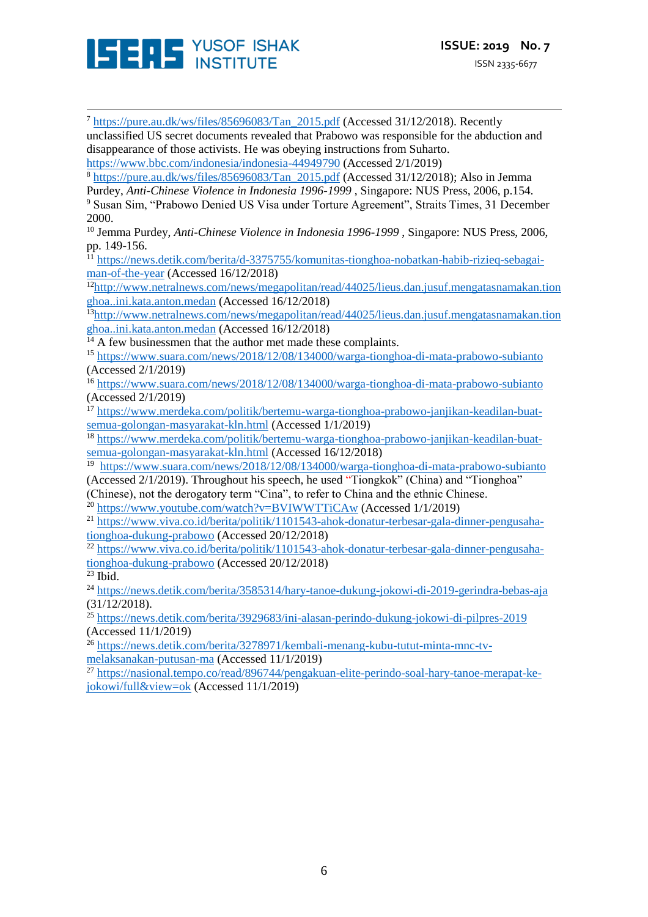

<u>.</u> <sup>7</sup> [https://pure.au.dk/ws/files/85696083/Tan\\_2015.pdf](https://pure.au.dk/ws/files/85696083/Tan_2015.pdf) (Accessed 31/12/2018). Recently unclassified US secret documents revealed that Prabowo was responsible for the abduction and disappearance of those activists. He was obeying instructions from Suharto. <https://www.bbc.com/indonesia/indonesia-44949790> (Accessed 2/1/2019) <sup>8</sup> [https://pure.au.dk/ws/files/85696083/Tan\\_2015.pdf](https://pure.au.dk/ws/files/85696083/Tan_2015.pdf) (Accessed 31/12/2018); Also in Jemma Purdey, *Anti-Chinese Violence in Indonesia 1996-1999* , Singapore: NUS Press, 2006, p.154. <sup>9</sup> Susan Sim, "Prabowo Denied US Visa under Torture Agreement", Straits Times, 31 December 2000. <sup>10</sup> Jemma Purdey, *Anti-Chinese Violence in Indonesia 1996-1999* , Singapore: NUS Press, 2006, pp. 149-156. <sup>11</sup> [https://news.detik.com/berita/d-3375755/komunitas-tionghoa-nobatkan-habib-rizieq-sebagai](https://news.detik.com/berita/d-3375755/komunitas-tionghoa-nobatkan-habib-rizieq-sebagai-man-of-the-year)[man-of-the-year](https://news.detik.com/berita/d-3375755/komunitas-tionghoa-nobatkan-habib-rizieq-sebagai-man-of-the-year) (Accessed 16/12/2018) <sup>12</sup>[http://www.netralnews.com/news/megapolitan/read/44025/lieus.dan.jusuf.mengatasnamakan.tion](http://www.netralnews.com/news/megapolitan/read/44025/lieus.dan.jusuf.mengatasnamakan.tionghoa..ini.kata.anton.medan) [ghoa..ini.kata.anton.medan](http://www.netralnews.com/news/megapolitan/read/44025/lieus.dan.jusuf.mengatasnamakan.tionghoa..ini.kata.anton.medan) (Accessed 16/12/2018) <sup>13</sup>[http://www.netralnews.com/news/megapolitan/read/44025/lieus.dan.jusuf.mengatasnamakan.tion](http://www.netralnews.com/news/megapolitan/read/44025/lieus.dan.jusuf.mengatasnamakan.tionghoa..ini.kata.anton.medan) [ghoa..ini.kata.anton.medan](http://www.netralnews.com/news/megapolitan/read/44025/lieus.dan.jusuf.mengatasnamakan.tionghoa..ini.kata.anton.medan) (Accessed 16/12/2018)  $<sup>14</sup>$  A few businessmen that the author met made these complaints.</sup> <sup>15</sup> <https://www.suara.com/news/2018/12/08/134000/warga-tionghoa-di-mata-prabowo-subianto> (Accessed 2/1/2019) <sup>16</sup> <https://www.suara.com/news/2018/12/08/134000/warga-tionghoa-di-mata-prabowo-subianto> (Accessed 2/1/2019) <sup>17</sup> [https://www.merdeka.com/politik/bertemu-warga-tionghoa-prabowo-janjikan-keadilan-buat](https://www.merdeka.com/politik/bertemu-warga-tionghoa-prabowo-janjikan-keadilan-buat-semua-golongan-masyarakat-kln.html)[semua-golongan-masyarakat-kln.html](https://www.merdeka.com/politik/bertemu-warga-tionghoa-prabowo-janjikan-keadilan-buat-semua-golongan-masyarakat-kln.html) (Accessed 1/1/2019) <sup>18</sup> [https://www.merdeka.com/politik/bertemu-warga-tionghoa-prabowo-janjikan-keadilan-buat](https://www.merdeka.com/politik/bertemu-warga-tionghoa-prabowo-janjikan-keadilan-buat-semua-golongan-masyarakat-kln.html)[semua-golongan-masyarakat-kln.html](https://www.merdeka.com/politik/bertemu-warga-tionghoa-prabowo-janjikan-keadilan-buat-semua-golongan-masyarakat-kln.html) (Accessed 16/12/2018) <sup>19</sup> <https://www.suara.com/news/2018/12/08/134000/warga-tionghoa-di-mata-prabowo-subianto> (Accessed 2/1/2019). Throughout his speech, he used "Tiongkok" (China) and "Tionghoa" (Chinese), not the derogatory term "Cina", to refer to China and the ethnic Chinese. <sup>20</sup> <https://www.youtube.com/watch?v=BVIWWTTiCAw> (Accessed 1/1/2019) <sup>21</sup> [https://www.viva.co.id/berita/politik/1101543-ahok-donatur-terbesar-gala-dinner-pengusaha](https://www.viva.co.id/berita/politik/1101543-ahok-donatur-terbesar-gala-dinner-pengusaha-tionghoa-dukung-prabowo)[tionghoa-dukung-prabowo](https://www.viva.co.id/berita/politik/1101543-ahok-donatur-terbesar-gala-dinner-pengusaha-tionghoa-dukung-prabowo) (Accessed 20/12/2018) <sup>22</sup> [https://www.viva.co.id/berita/politik/1101543-ahok-donatur-terbesar-gala-dinner-pengusaha](https://www.viva.co.id/berita/politik/1101543-ahok-donatur-terbesar-gala-dinner-pengusaha-tionghoa-dukung-prabowo)[tionghoa-dukung-prabowo](https://www.viva.co.id/berita/politik/1101543-ahok-donatur-terbesar-gala-dinner-pengusaha-tionghoa-dukung-prabowo) (Accessed 20/12/2018)  $23$  Ibid. <sup>24</sup> <https://news.detik.com/berita/3585314/hary-tanoe-dukung-jokowi-di-2019-gerindra-bebas-aja> (31/12/2018). <sup>25</sup> <https://news.detik.com/berita/3929683/ini-alasan-perindo-dukung-jokowi-di-pilpres-2019> (Accessed 11/1/2019) <sup>26</sup> [https://news.detik.com/berita/3278971/kembali-menang-kubu-tutut-minta-mnc-tv](https://news.detik.com/berita/3278971/kembali-menang-kubu-tutut-minta-mnc-tv-melaksanakan-putusan-ma)[melaksanakan-putusan-ma](https://news.detik.com/berita/3278971/kembali-menang-kubu-tutut-minta-mnc-tv-melaksanakan-putusan-ma) (Accessed 11/1/2019) <sup>27</sup> [https://nasional.tempo.co/read/896744/pengakuan-elite-perindo-soal-hary-tanoe-merapat-ke](https://nasional.tempo.co/read/896744/pengakuan-elite-perindo-soal-hary-tanoe-merapat-ke-jokowi/full&view=ok)[jokowi/full&view=ok](https://nasional.tempo.co/read/896744/pengakuan-elite-perindo-soal-hary-tanoe-merapat-ke-jokowi/full&view=ok) (Accessed 11/1/2019)